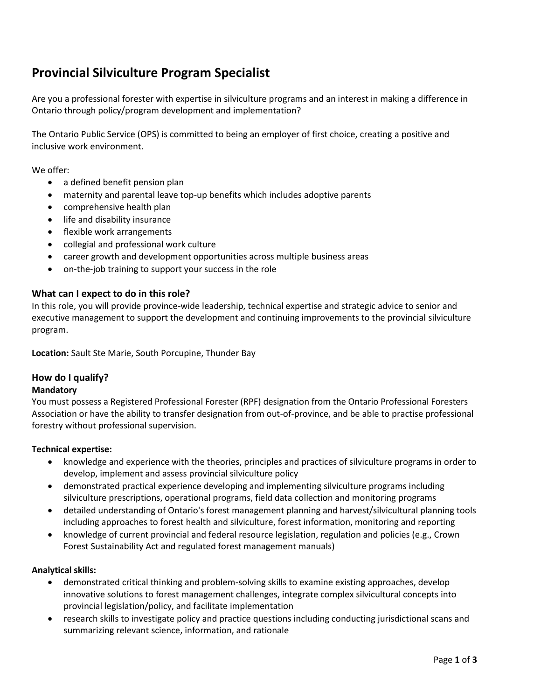# **Provincial Silviculture Program Specialist**

Are you a professional forester with expertise in silviculture programs and an interest in making a difference in Ontario through policy/program development and implementation?

The Ontario Public Service (OPS) is committed to being an employer of first choice, creating a positive and inclusive work environment.

We offer:

- a defined benefit pension plan
- maternity and parental leave top-up benefits which includes adoptive parents
- comprehensive health plan
- life and disability insurance
- flexible work arrangements
- collegial and professional work culture
- career growth and development opportunities across multiple business areas
- on-the-job training to support your success in the role

## **What can I expect to do in this role?**

In this role, you will provide province-wide leadership, technical expertise and strategic advice to senior and executive management to support the development and continuing improvements to the provincial silviculture program.

**Location:** Sault Ste Marie, South Porcupine, Thunder Bay

# **How do I qualify?**

#### **Mandatory**

You must possess a Registered Professional Forester (RPF) designation from the Ontario Professional Foresters Association or have the ability to transfer designation from out-of-province, and be able to practise professional forestry without professional supervision.

#### **Technical expertise:**

- knowledge and experience with the theories, principles and practices of silviculture programs in order to develop, implement and assess provincial silviculture policy
- demonstrated practical experience developing and implementing silviculture programs including silviculture prescriptions, operational programs, field data collection and monitoring programs
- detailed understanding of Ontario's forest management planning and harvest/silvicultural planning tools including approaches to forest health and silviculture, forest information, monitoring and reporting
- knowledge of current provincial and federal resource legislation, regulation and policies (e.g., Crown Forest Sustainability Act and regulated forest management manuals)

# **Analytical skills:**

- demonstrated critical thinking and problem-solving skills to examine existing approaches, develop innovative solutions to forest management challenges, integrate complex silvicultural concepts into provincial legislation/policy, and facilitate implementation
- research skills to investigate policy and practice questions including conducting jurisdictional scans and summarizing relevant science, information, and rationale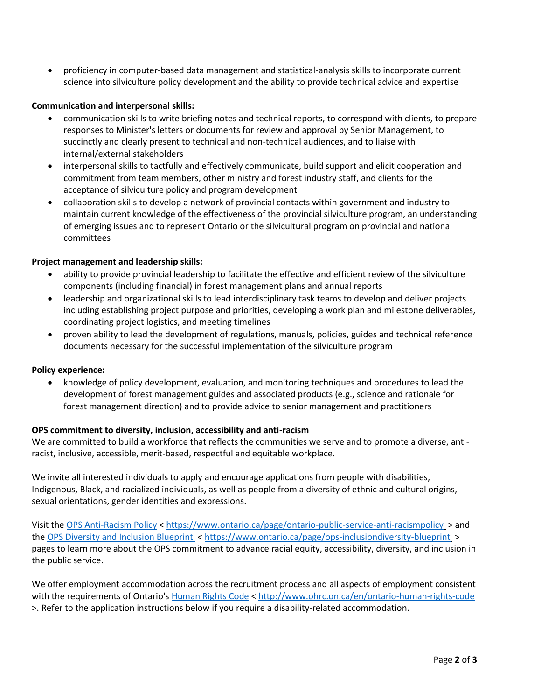• proficiency in computer-based data management and statistical-analysis skills to incorporate current science into silviculture policy development and the ability to provide technical advice and expertise

## **Communication and interpersonal skills:**

- communication skills to write briefing notes and technical reports, to correspond with clients, to prepare responses to Minister's letters or documents for review and approval by Senior Management, to succinctly and clearly present to technical and non-technical audiences, and to liaise with internal/external stakeholders
- interpersonal skills to tactfully and effectively communicate, build support and elicit cooperation and commitment from team members, other ministry and forest industry staff, and clients for the acceptance of silviculture policy and program development
- collaboration skills to develop a network of provincial contacts within government and industry to maintain current knowledge of the effectiveness of the provincial silviculture program, an understanding of emerging issues and to represent Ontario or the silvicultural program on provincial and national committees

## **Project management and leadership skills:**

- ability to provide provincial leadership to facilitate the effective and efficient review of the silviculture components (including financial) in forest management plans and annual reports
- leadership and organizational skills to lead interdisciplinary task teams to develop and deliver projects including establishing project purpose and priorities, developing a work plan and milestone deliverables, coordinating project logistics, and meeting timelines
- proven ability to lead the development of regulations, manuals, policies, guides and technical reference documents necessary for the successful implementation of the silviculture program

#### **Policy experience:**

• knowledge of policy development, evaluation, and monitoring techniques and procedures to lead the development of forest management guides and associated products (e.g., science and rationale for forest management direction) and to provide advice to senior management and practitioners

# **OPS commitment to diversity, inclusion, accessibility and anti-racism**

We are committed to build a workforce that reflects the communities we serve and to promote a diverse, antiracist, inclusive, accessible, merit-based, respectful and equitable workplace.

We invite all interested individuals to apply and encourage applications from people with disabilities, Indigenous, Black, and racialized individuals, as well as people from a diversity of ethnic and cultural origins, sexual orientations, gender identities and expressions.

Visit the [OPS Anti-Racism Policy](https://www.ontario.ca/page/ontario-public-service-anti-racism-policy) <<https://www.ontario.ca/page/ontario-public-service-anti-racismpolicy> > and the [OPS Diversity and Inclusion Blueprint](https://www.ontario.ca/page/ops-inclusion-diversity-blueprint) [< https://www.ontario.ca/page/ops-inclusiondiversity-blueprint](https://www.ontario.ca/page/ops-inclusiondiversity-blueprint) > pages to learn more about the OPS commitment to advance racial equity, accessibility, diversity, and inclusion in the public service.

We offer employment accommodation across the recruitment process and all aspects of employment consistent with the requirements of Ontario's [Human Rights Code](http://www.ohrc.on.ca/en/ontario-human-rights-code) <<http://www.ohrc.on.ca/en/ontario-human-rights-code> >. Refer to the application instructions below if you require a disability-related accommodation.